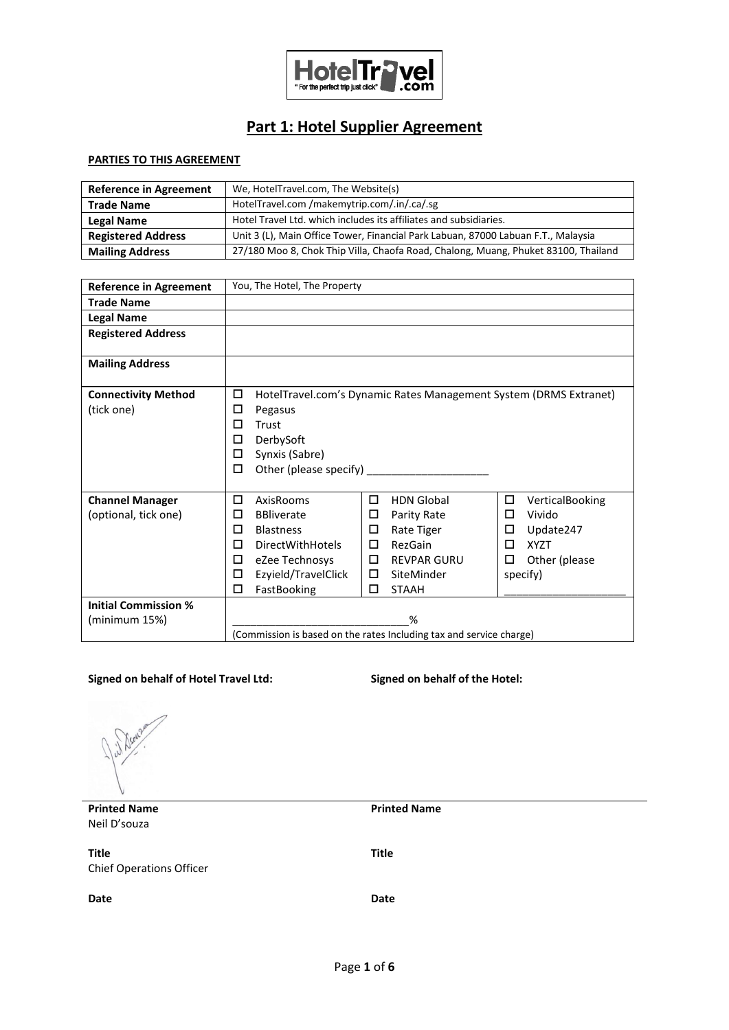

# **Part 1: Hotel Supplier Agreement**

### **PARTIES TO THIS AGREEMENT**

| <b>Reference in Agreement</b> | We, HotelTravel.com, The Website(s)                                                |
|-------------------------------|------------------------------------------------------------------------------------|
| <b>Trade Name</b>             | HotelTravel.com /makemytrip.com/.in/.ca/.sg                                        |
| Legal Name                    | Hotel Travel Ltd. which includes its affiliates and subsidiaries.                  |
| <b>Registered Address</b>     | Unit 3 (L), Main Office Tower, Financial Park Labuan, 87000 Labuan F.T., Malaysia  |
| <b>Mailing Address</b>        | 27/180 Moo 8, Chok Thip Villa, Chaofa Road, Chalong, Muang, Phuket 83100, Thailand |

| <b>Reference in Agreement</b> | You, The Hotel, The Property                                        |                     |   |                                                                   |   |                 |
|-------------------------------|---------------------------------------------------------------------|---------------------|---|-------------------------------------------------------------------|---|-----------------|
| <b>Trade Name</b>             |                                                                     |                     |   |                                                                   |   |                 |
| <b>Legal Name</b>             |                                                                     |                     |   |                                                                   |   |                 |
| <b>Registered Address</b>     |                                                                     |                     |   |                                                                   |   |                 |
| <b>Mailing Address</b>        |                                                                     |                     |   |                                                                   |   |                 |
| <b>Connectivity Method</b>    | $\Box$                                                              |                     |   | HotelTravel.com's Dynamic Rates Management System (DRMS Extranet) |   |                 |
| (tick one)                    | □                                                                   | Pegasus             |   |                                                                   |   |                 |
|                               | □                                                                   | Trust               |   |                                                                   |   |                 |
|                               | □                                                                   | DerbySoft           |   |                                                                   |   |                 |
|                               | □                                                                   | Synxis (Sabre)      |   |                                                                   |   |                 |
|                               | □                                                                   |                     |   |                                                                   |   |                 |
| <b>Channel Manager</b>        | □                                                                   | AxisRooms           | □ | <b>HDN Global</b>                                                 | □ | VerticalBooking |
| (optional, tick one)          | □                                                                   | <b>BBliverate</b>   | □ | Parity Rate                                                       | □ | Vivido          |
|                               | □                                                                   | <b>Blastness</b>    | □ | Rate Tiger                                                        | □ | Update247       |
|                               | □                                                                   | DirectWithHotels    | □ | RezGain                                                           | □ | <b>XYZT</b>     |
|                               | □                                                                   | eZee Technosys      | □ | <b>REVPAR GURU</b>                                                | □ | Other (please   |
|                               | □                                                                   | Ezyield/TravelClick | □ | SiteMinder                                                        |   | specify)        |
|                               | □                                                                   | FastBooking         | □ | <b>STAAH</b>                                                      |   |                 |
| <b>Initial Commission %</b>   |                                                                     |                     |   |                                                                   |   |                 |
| (minimum 15%)                 | %                                                                   |                     |   |                                                                   |   |                 |
|                               | (Commission is based on the rates Including tax and service charge) |                     |   |                                                                   |   |                 |

#### **Signed on behalf of Hotel Travel Ltd: Signed on behalf of the Hotel:**

**Printed Name** Neil D'souza

**Title** Chief Operations Officer **Title**

**Printed Name**

**Date Date**

Page **1** of **6**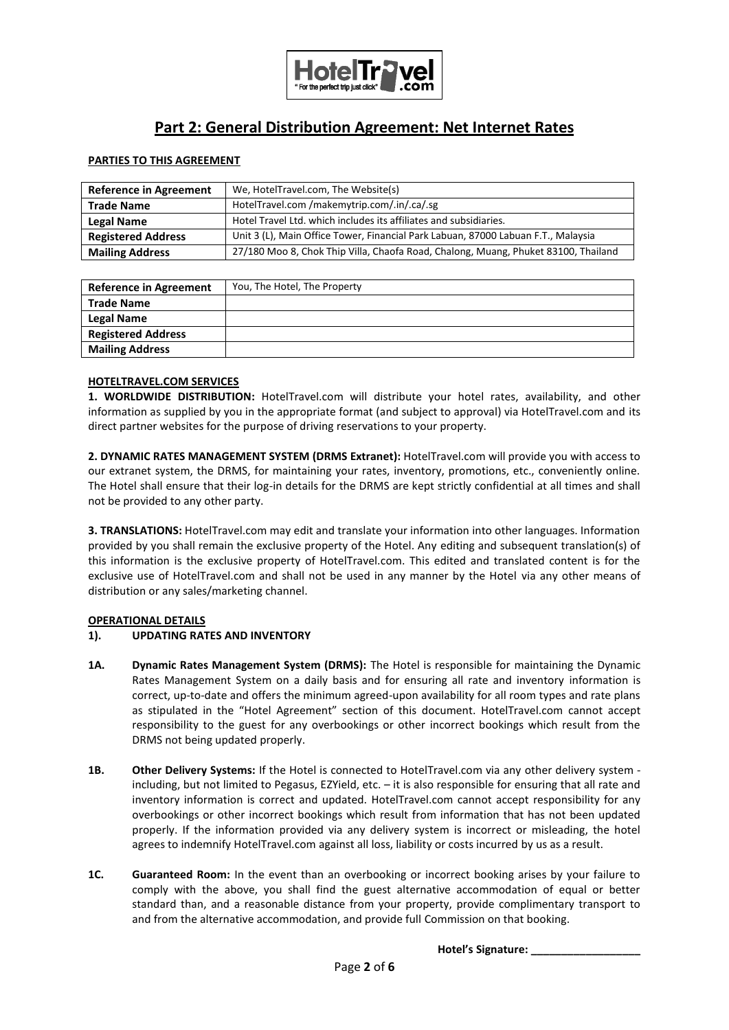

## **Part 2: General Distribution Agreement: Net Internet Rates**

#### **PARTIES TO THIS AGREEMENT**

| <b>Reference in Agreement</b> | We, HotelTravel.com, The Website(s)                                                |
|-------------------------------|------------------------------------------------------------------------------------|
| <b>Trade Name</b>             | HotelTravel.com/makemytrip.com/.in/.ca/.sg                                         |
| <b>Legal Name</b>             | Hotel Travel Ltd. which includes its affiliates and subsidiaries.                  |
| <b>Registered Address</b>     | Unit 3 (L), Main Office Tower, Financial Park Labuan, 87000 Labuan F.T., Malaysia  |
| <b>Mailing Address</b>        | 27/180 Moo 8, Chok Thip Villa, Chaofa Road, Chalong, Muang, Phuket 83100, Thailand |

| <b>Reference in Agreement</b> | You, The Hotel, The Property |
|-------------------------------|------------------------------|
| <b>Trade Name</b>             |                              |
| <b>Legal Name</b>             |                              |
| <b>Registered Address</b>     |                              |
| <b>Mailing Address</b>        |                              |

#### **HOTELTRAVEL.COM SERVICES**

**1. WORLDWIDE DISTRIBUTION:** HotelTravel.com will distribute your hotel rates, availability, and other information as supplied by you in the appropriate format (and subject to approval) via HotelTravel.com and its direct partner websites for the purpose of driving reservations to your property.

**2. DYNAMIC RATES MANAGEMENT SYSTEM (DRMS Extranet):** HotelTravel.com will provide you with access to our extranet system, the DRMS, for maintaining your rates, inventory, promotions, etc., conveniently online. The Hotel shall ensure that their log-in details for the DRMS are kept strictly confidential at all times and shall not be provided to any other party.

**3. TRANSLATIONS:** HotelTravel.com may edit and translate your information into other languages. Information provided by you shall remain the exclusive property of the Hotel. Any editing and subsequent translation(s) of this information is the exclusive property of HotelTravel.com. This edited and translated content is for the exclusive use of HotelTravel.com and shall not be used in any manner by the Hotel via any other means of distribution or any sales/marketing channel.

#### **OPERATIONAL DETAILS**

#### **1). UPDATING RATES AND INVENTORY**

- **1A. Dynamic Rates Management System (DRMS):** The Hotel is responsible for maintaining the Dynamic Rates Management System on a daily basis and for ensuring all rate and inventory information is correct, up-to-date and offers the minimum agreed-upon availability for all room types and rate plans as stipulated in the "Hotel Agreement" section of this document. HotelTravel.com cannot accept responsibility to the guest for any overbookings or other incorrect bookings which result from the DRMS not being updated properly.
- **1B. Other Delivery Systems:** If the Hotel is connected to HotelTravel.com via any other delivery system including, but not limited to Pegasus, EZYield, etc. – it is also responsible for ensuring that all rate and inventory information is correct and updated. HotelTravel.com cannot accept responsibility for any overbookings or other incorrect bookings which result from information that has not been updated properly. If the information provided via any delivery system is incorrect or misleading, the hotel agrees to indemnify HotelTravel.com against all loss, liability or costs incurred by us as a result.
- **1C. Guaranteed Room:** In the event than an overbooking or incorrect booking arises by your failure to comply with the above, you shall find the guest alternative accommodation of equal or better standard than, and a reasonable distance from your property, provide complimentary transport to and from the alternative accommodation, and provide full Commission on that booking.

**Hotel's Signature: \_\_\_\_\_\_\_\_\_\_\_\_\_\_\_\_\_\_**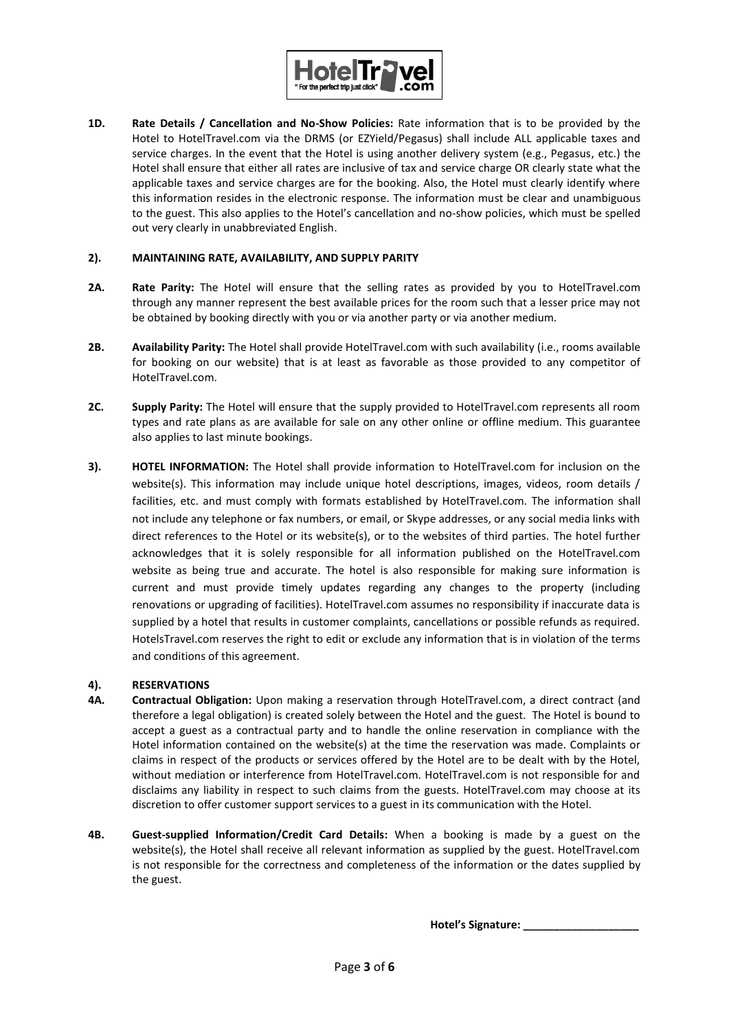

**1D. Rate Details / Cancellation and No-Show Policies:** Rate information that is to be provided by the Hotel to HotelTravel.com via the DRMS (or EZYield/Pegasus) shall include ALL applicable taxes and service charges. In the event that the Hotel is using another delivery system (e.g., Pegasus, etc.) the Hotel shall ensure that either all rates are inclusive of tax and service charge OR clearly state what the applicable taxes and service charges are for the booking. Also, the Hotel must clearly identify where this information resides in the electronic response. The information must be clear and unambiguous to the guest. This also applies to the Hotel's cancellation and no-show policies, which must be spelled out very clearly in unabbreviated English.

#### **2). MAINTAINING RATE, AVAILABILITY, AND SUPPLY PARITY**

- **2A. Rate Parity:** The Hotel will ensure that the selling rates as provided by you to HotelTravel.com through any manner represent the best available prices for the room such that a lesser price may not be obtained by booking directly with you or via another party or via another medium.
- **2B. Availability Parity:** The Hotel shall provide HotelTravel.com with such availability (i.e., rooms available for booking on our website) that is at least as favorable as those provided to any competitor of HotelTravel.com.
- **2C. Supply Parity:** The Hotel will ensure that the supply provided to HotelTravel.com represents all room types and rate plans as are available for sale on any other online or offline medium. This guarantee also applies to last minute bookings.
- **3). HOTEL INFORMATION:** The Hotel shall provide information to HotelTravel.com for inclusion on the website(s). This information may include unique hotel descriptions, images, videos, room details / facilities, etc. and must comply with formats established by HotelTravel.com. The information shall not include any telephone or fax numbers, or email, or Skype addresses, or any social media links with direct references to the Hotel or its website(s), or to the websites of third parties. The hotel further acknowledges that it is solely responsible for all information published on the HotelTravel.com website as being true and accurate. The hotel is also responsible for making sure information is current and must provide timely updates regarding any changes to the property (including renovations or upgrading of facilities). HotelTravel.com assumes no responsibility if inaccurate data is supplied by a hotel that results in customer complaints, cancellations or possible refunds as required. HotelsTravel.com reserves the right to edit or exclude any information that is in violation of the terms and conditions of this agreement.

#### **4). RESERVATIONS**

- **4A. Contractual Obligation:** Upon making a reservation through HotelTravel.com, a direct contract (and therefore a legal obligation) is created solely between the Hotel and the guest. The Hotel is bound to accept a guest as a contractual party and to handle the online reservation in compliance with the Hotel information contained on the website(s) at the time the reservation was made. Complaints or claims in respect of the products or services offered by the Hotel are to be dealt with by the Hotel, without mediation or interference from HotelTravel.com. HotelTravel.com is not responsible for and disclaims any liability in respect to such claims from the guests. HotelTravel.com may choose at its discretion to offer customer support services to a guest in its communication with the Hotel.
- **4B. Guest-supplied Information/Credit Card Details:** When a booking is made by a guest on the website(s), the Hotel shall receive all relevant information as supplied by the guest. HotelTravel.com is not responsible for the correctness and completeness of the information or the dates supplied by the guest.

**Hotel's Signature: \_\_\_\_\_\_\_\_\_\_\_\_\_\_\_\_\_\_\_**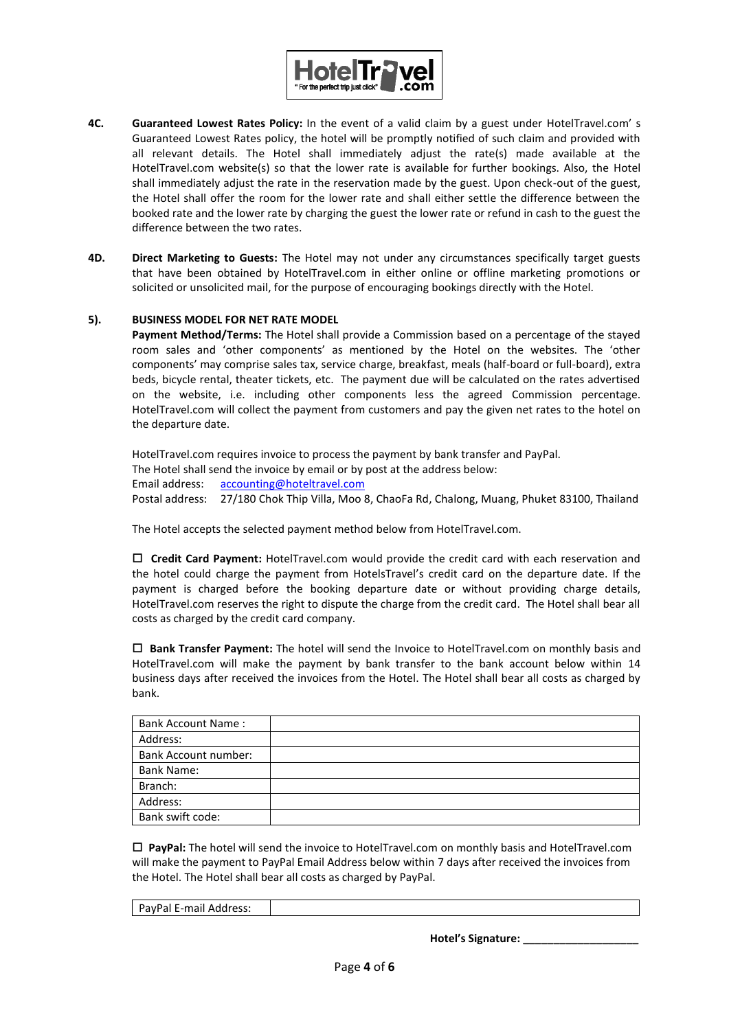

- **4C. Guaranteed Lowest Rates Policy:** In the event of a valid claim by a guest under HotelTravel.com' s Guaranteed Lowest Rates policy, the hotel will be promptly notified of such claim and provided with all relevant details. The Hotel shall immediately adjust the rate(s) made available at the HotelTravel.com website(s) so that the lower rate is available for further bookings. Also, the Hotel shall immediately adjust the rate in the reservation made by the guest. Upon check-out of the guest, the Hotel shall offer the room for the lower rate and shall either settle the difference between the booked rate and the lower rate by charging the guest the lower rate or refund in cash to the guest the difference between the two rates.
- **4D. Direct Marketing to Guests:** The Hotel may not under any circumstances specifically target guests that have been obtained by HotelTravel.com in either online or offline marketing promotions or solicited or unsolicited mail, for the purpose of encouraging bookings directly with the Hotel.

#### **5). BUSINESS MODEL FOR NET RATE MODEL**

**Payment Method/Terms:** The Hotel shall provide a Commission based on a percentage of the stayed room sales and 'other components' as mentioned by the Hotel on the websites. The 'other components' may comprise sales tax, service charge, breakfast, meals (half-board or full-board), extra beds, bicycle rental, theater tickets, etc. The payment due will be calculated on the rates advertised on the website, i.e. including other components less the agreed Commission percentage. HotelTravel.com will collect the payment from customers and pay the given net rates to the hotel on the departure date.

HotelTravel.com requires invoice to process the payment by bank transfer and PayPal. The Hotel shall send the invoice by email or by post at the address below: Email address: [accounting@hoteltravel.com](mailto:accounting@hoteltravel.com) Postal address: 27/180 Chok Thip Villa, Moo 8, ChaoFa Rd, Chalong, Muang, Phuket 83100, Thailand

The Hotel accepts the selected payment method below from HotelTravel.com.

 **Credit Card Payment:** HotelTravel.com would provide the credit card with each reservation and the hotel could charge the payment from HotelsTravel's credit card on the departure date. If the payment is charged before the booking departure date or without providing charge details, HotelTravel.com reserves the right to dispute the charge from the credit card. The Hotel shall bear all costs as charged by the credit card company.

 **Bank Transfer Payment:** The hotel will send the Invoice to HotelTravel.com on monthly basis and HotelTravel.com will make the payment by bank transfer to the bank account below within 14 business days after received the invoices from the Hotel. The Hotel shall bear all costs as charged by bank.

| <b>Bank Account Name:</b>   |  |
|-----------------------------|--|
| Address:                    |  |
| <b>Bank Account number:</b> |  |
| <b>Bank Name:</b>           |  |
| Branch:                     |  |
| Address:                    |  |
| Bank swift code:            |  |

 **PayPal:** The hotel will send the invoice to HotelTravel.com on monthly basis and HotelTravel.com will make the payment to PayPal Email Address below within 7 days after received the invoices from the Hotel. The Hotel shall bear all costs as charged by PayPal.

PayPal E-mail Address:

 **Hotel's Signature: \_\_\_\_\_\_\_\_\_\_\_\_\_\_\_\_\_\_\_**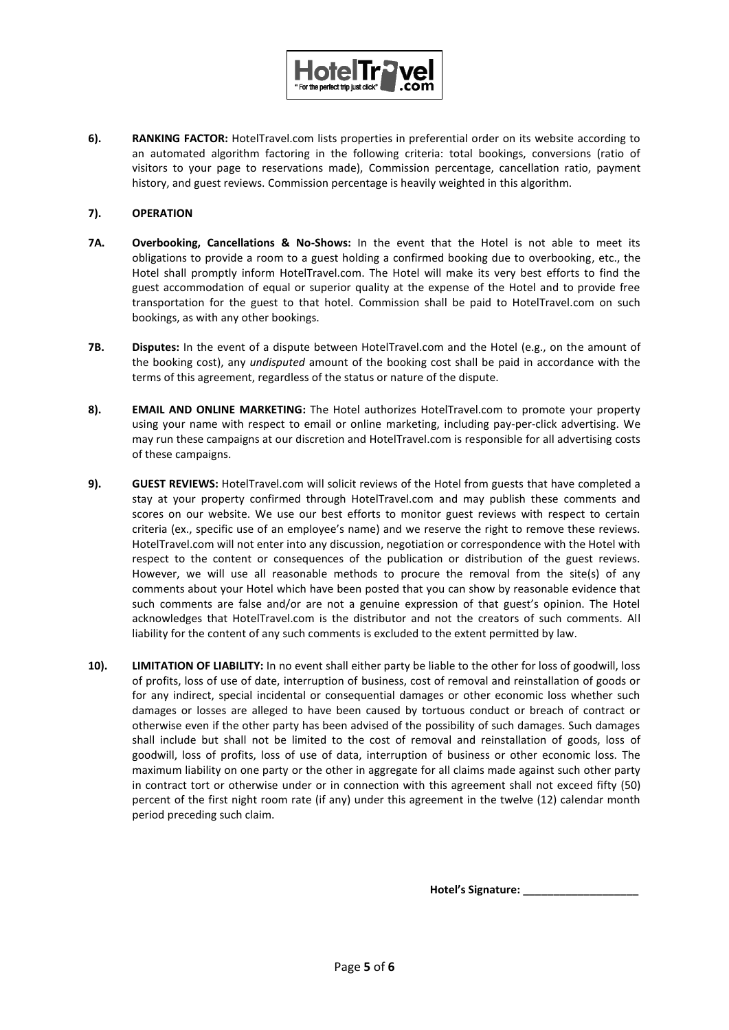

**6). RANKING FACTOR:** HotelTravel.com lists properties in preferential order on its website according to an automated algorithm factoring in the following criteria: total bookings, conversions (ratio of visitors to your page to reservations made), Commission percentage, cancellation ratio, payment history, and guest reviews. Commission percentage is heavily weighted in this algorithm.

#### **7). OPERATION**

- **7A. Overbooking, Cancellations & No-Shows:** In the event that the Hotel is not able to meet its obligations to provide a room to a guest holding a confirmed booking due to overbooking, etc., the Hotel shall promptly inform HotelTravel.com. The Hotel will make its very best efforts to find the guest accommodation of equal or superior quality at the expense of the Hotel and to provide free transportation for the guest to that hotel. Commission shall be paid to HotelTravel.com on such bookings, as with any other bookings.
- **7B. Disputes:** In the event of a dispute between HotelTravel.com and the Hotel (e.g., on the amount of the booking cost), any *undisputed* amount of the booking cost shall be paid in accordance with the terms of this agreement, regardless of the status or nature of the dispute.
- **8). EMAIL AND ONLINE MARKETING:** The Hotel authorizes HotelTravel.com to promote your property using your name with respect to email or online marketing, including pay-per-click advertising. We may run these campaigns at our discretion and HotelTravel.com is responsible for all advertising costs of these campaigns.
- **9). GUEST REVIEWS:** HotelTravel.com will solicit reviews of the Hotel from guests that have completed a stay at your property confirmed through HotelTravel.com and may publish these comments and scores on our website. We use our best efforts to monitor guest reviews with respect to certain criteria (ex., specific use of an employee's name) and we reserve the right to remove these reviews. HotelTravel.com will not enter into any discussion, negotiation or correspondence with the Hotel with respect to the content or consequences of the publication or distribution of the guest reviews. However, we will use all reasonable methods to procure the removal from the site(s) of any comments about your Hotel which have been posted that you can show by reasonable evidence that such comments are false and/or are not a genuine expression of that guest's opinion. The Hotel acknowledges that HotelTravel.com is the distributor and not the creators of such comments. All liability for the content of any such comments is excluded to the extent permitted by law.
- **10). LIMITATION OF LIABILITY:** In no event shall either party be liable to the other for loss of goodwill, loss of profits, loss of use of date, interruption of business, cost of removal and reinstallation of goods or for any indirect, special incidental or consequential damages or other economic loss whether such damages or losses are alleged to have been caused by tortuous conduct or breach of contract or otherwise even if the other party has been advised of the possibility of such damages. Such damages shall include but shall not be limited to the cost of removal and reinstallation of goods, loss of goodwill, loss of profits, loss of use of data, interruption of business or other economic loss. The maximum liability on one party or the other in aggregate for all claims made against such other party in contract tort or otherwise under or in connection with this agreement shall not exceed fifty (50) percent of the first night room rate (if any) under this agreement in the twelve (12) calendar month period preceding such claim.

**Hotel's Signature:**